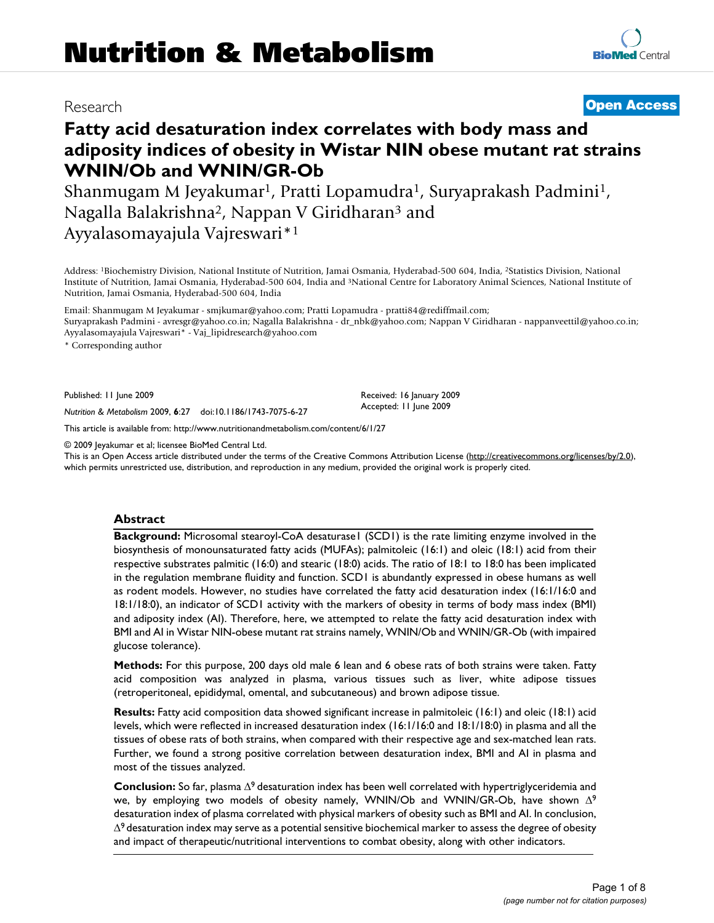# Research **[Open Access](http://www.biomedcentral.com/info/about/charter/)**

# **Fatty acid desaturation index correlates with body mass and adiposity indices of obesity in Wistar NIN obese mutant rat strains WNIN/Ob and WNIN/GR-Ob**

Shanmugam M Jeyakumar1, Pratti Lopamudra1, Suryaprakash Padmini1, Nagalla Balakrishna2, Nappan V Giridharan3 and Ayyalasomayajula Vajreswari\*1

Address: 1Biochemistry Division, National Institute of Nutrition, Jamai Osmania, Hyderabad-500 604, India, 2Statistics Division, National Institute of Nutrition, Jamai Osmania, Hyderabad-500 604, India and 3National Centre for Laboratory Animal Sciences, National Institute of Nutrition, Jamai Osmania, Hyderabad-500 604, India

Email: Shanmugam M Jeyakumar - smjkumar@yahoo.com; Pratti Lopamudra - pratti84@rediffmail.com; Suryaprakash Padmini - avresgr@yahoo.co.in; Nagalla Balakrishna - dr\_nbk@yahoo.com; Nappan V Giridharan - nappanveettil@yahoo.co.in;

Ayyalasomayajula Vajreswari\* - Vaj\_lipidresearch@yahoo.com

\* Corresponding author

Published: 11 June 2009

*Nutrition & Metabolism* 2009, **6**:27 doi:10.1186/1743-7075-6-27

[This article is available from: http://www.nutritionandmetabolism.com/content/6/1/27](http://www.nutritionandmetabolism.com/content/6/1/27)

© 2009 Jeyakumar et al; licensee BioMed Central Ltd.

This is an Open Access article distributed under the terms of the Creative Commons Attribution License [\(http://creativecommons.org/licenses/by/2.0\)](http://creativecommons.org/licenses/by/2.0), which permits unrestricted use, distribution, and reproduction in any medium, provided the original work is properly cited.

Received: 16 January 2009 Accepted: 11 June 2009

#### **Abstract**

**Background:** Microsomal stearoyl-CoA desaturase1 (SCD1) is the rate limiting enzyme involved in the biosynthesis of monounsaturated fatty acids (MUFAs); palmitoleic (16:1) and oleic (18:1) acid from their respective substrates palmitic (16:0) and stearic (18:0) acids. The ratio of 18:1 to 18:0 has been implicated in the regulation membrane fluidity and function. SCD1 is abundantly expressed in obese humans as well as rodent models. However, no studies have correlated the fatty acid desaturation index (16:1/16:0 and 18:1/18:0), an indicator of SCD1 activity with the markers of obesity in terms of body mass index (BMI) and adiposity index (AI). Therefore, here, we attempted to relate the fatty acid desaturation index with BMI and AI in Wistar NIN-obese mutant rat strains namely, WNIN/Ob and WNIN/GR-Ob (with impaired glucose tolerance).

**Methods:** For this purpose, 200 days old male 6 lean and 6 obese rats of both strains were taken. Fatty acid composition was analyzed in plasma, various tissues such as liver, white adipose tissues (retroperitoneal, epididymal, omental, and subcutaneous) and brown adipose tissue.

**Results:** Fatty acid composition data showed significant increase in palmitoleic (16:1) and oleic (18:1) acid levels, which were reflected in increased desaturation index (16:1/16:0 and 18:1/18:0) in plasma and all the tissues of obese rats of both strains, when compared with their respective age and sex-matched lean rats. Further, we found a strong positive correlation between desaturation index, BMI and AI in plasma and most of the tissues analyzed.

**Conclusion:** So far, plasma Δ9 desaturation index has been well correlated with hypertriglyceridemia and we, by employing two models of obesity namely, WNIN/Ob and WNIN/GR-Ob, have shown Δ<sup>9</sup> desaturation index of plasma correlated with physical markers of obesity such as BMI and AI. In conclusion,  $\Delta^9$  desaturation index may serve as a potential sensitive biochemical marker to assess the degree of obesity and impact of therapeutic/nutritional interventions to combat obesity, along with other indicators.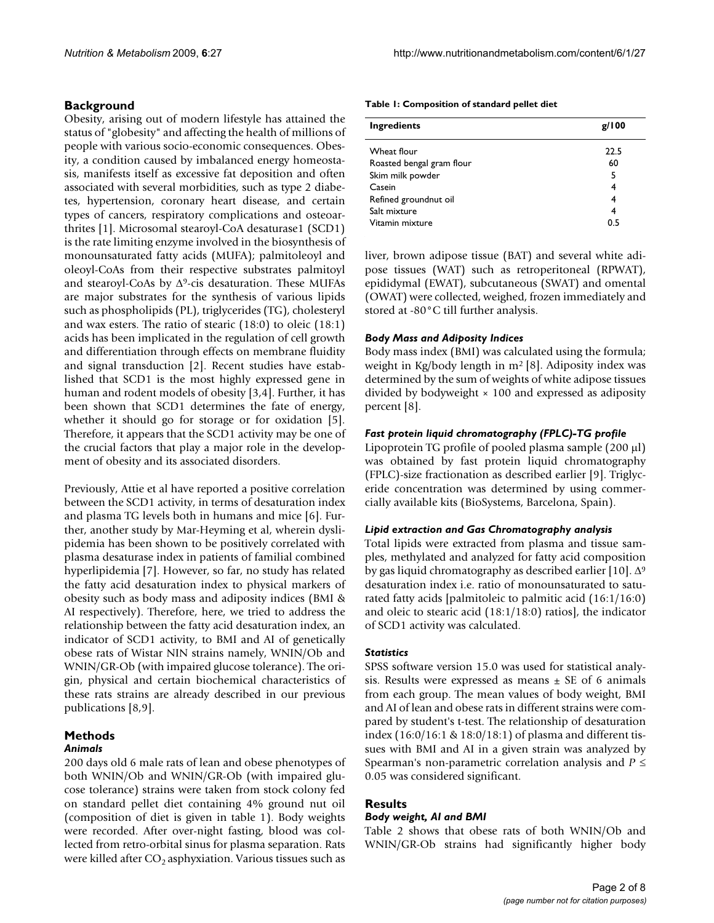# **Background**

Obesity, arising out of modern lifestyle has attained the status of "globesity" and affecting the health of millions of people with various socio-economic consequences. Obesity, a condition caused by imbalanced energy homeostasis, manifests itself as excessive fat deposition and often associated with several morbidities, such as type 2 diabetes, hypertension, coronary heart disease, and certain types of cancers, respiratory complications and osteoarthrites [[1](#page-7-0)]. Microsomal stearoyl-CoA desaturase1 (SCD1) is the rate limiting enzyme involved in the biosynthesis of monounsaturated fatty acids (MUFA); palmitoleoyl and oleoyl-CoAs from their respective substrates palmitoyl and stearoyl-CoAs by  $\Delta^9$ -cis desaturation. These MUFAs are major substrates for the synthesis of various lipids such as phospholipids (PL), triglycerides (TG), cholesteryl and wax esters. The ratio of stearic (18:0) to oleic (18:1) acids has been implicated in the regulation of cell growth and differentiation through effects on membrane fluidity and signal transduction [[2](#page-7-1)]. Recent studies have established that SCD1 is the most highly expressed gene in human and rodent models of obesity [[3](#page-7-2)[,4\]](#page-7-3). Further, it has been shown that SCD1 determines the fate of energy, whether it should go for storage or for oxidation [[5](#page-7-4)]. Therefore, it appears that the SCD1 activity may be one of the crucial factors that play a major role in the development of obesity and its associated disorders.

Previously, Attie et al have reported a positive correlation between the SCD1 activity, in terms of desaturation index and plasma TG levels both in humans and mice [\[6](#page-7-5)]. Further, another study by Mar-Heyming et al, wherein dyslipidemia has been shown to be positively correlated with plasma desaturase index in patients of familial combined hyperlipidemia [[7](#page-7-6)]. However, so far, no study has related the fatty acid desaturation index to physical markers of obesity such as body mass and adiposity indices (BMI & AI respectively). Therefore, here, we tried to address the relationship between the fatty acid desaturation index, an indicator of SCD1 activity, to BMI and AI of genetically obese rats of Wistar NIN strains namely, WNIN/Ob and WNIN/GR-Ob (with impaired glucose tolerance). The origin, physical and certain biochemical characteristics of these rats strains are already described in our previous publications [[8](#page-7-7)[,9\]](#page-7-8).

# **Methods**

# *Animals*

200 days old 6 male rats of lean and obese phenotypes of both WNIN/Ob and WNIN/GR-Ob (with impaired glucose tolerance) strains were taken from stock colony fed on standard pellet diet containing 4% ground nut oil (composition of diet is given in table [1](#page-1-0)). Body weights were recorded. After over-night fasting, blood was collected from retro-orbital sinus for plasma separation. Rats were killed after  $CO<sub>2</sub>$  asphyxiation. Various tissues such as

<span id="page-1-0"></span>

| Ingredients               | g/100 |
|---------------------------|-------|
| Wheat flour               | 22.5  |
| Roasted bengal gram flour | 60    |
| Skim milk powder          | 5     |
| Casein                    | 4     |
| Refined groundnut oil     | 4     |
| Salt mixture              | 4     |
| Vitamin mixture           | 0.5   |

liver, brown adipose tissue (BAT) and several white adipose tissues (WAT) such as retroperitoneal (RPWAT), epididymal (EWAT), subcutaneous (SWAT) and omental (OWAT) were collected, weighed, frozen immediately and stored at -80°C till further analysis.

#### *Body Mass and Adiposity Indices*

Body mass index (BMI) was calculated using the formula; weight in Kg/body length in m<sup>2</sup> [\[8\]](#page-7-7). Adiposity index was determined by the sum of weights of white adipose tissues divided by bodyweight  $\times$  100 and expressed as adiposity percent [\[8](#page-7-7)].

#### *Fast protein liquid chromatography (FPLC)-TG profile*

Lipoprotein TG profile of pooled plasma sample (200 μl) was obtained by fast protein liquid chromatography (FPLC)-size fractionation as described earlier [[9](#page-7-8)]. Triglyceride concentration was determined by using commercially available kits (BioSystems, Barcelona, Spain).

#### *Lipid extraction and Gas Chromatography analysis*

Total lipids were extracted from plasma and tissue samples, methylated and analyzed for fatty acid composition by gas liquid chromatography as described earlier [\[10](#page-7-9)].  $\Delta^9$ desaturation index i.e. ratio of monounsaturated to saturated fatty acids [palmitoleic to palmitic acid (16:1/16:0) and oleic to stearic acid (18:1/18:0) ratios], the indicator of SCD1 activity was calculated.

#### *Statistics*

SPSS software version 15.0 was used for statistical analysis. Results were expressed as means  $\pm$  SE of 6 animals from each group. The mean values of body weight, BMI and AI of lean and obese rats in different strains were compared by student's t-test. The relationship of desaturation index (16:0/16:1 & 18:0/18:1) of plasma and different tissues with BMI and AI in a given strain was analyzed by Spearman's non-parametric correlation analysis and *P* ≤ 0.05 was considered significant.

# **Results**

#### *Body weight, AI and BMI*

Table [2](#page-2-0) shows that obese rats of both WNIN/Ob and WNIN/GR-Ob strains had significantly higher body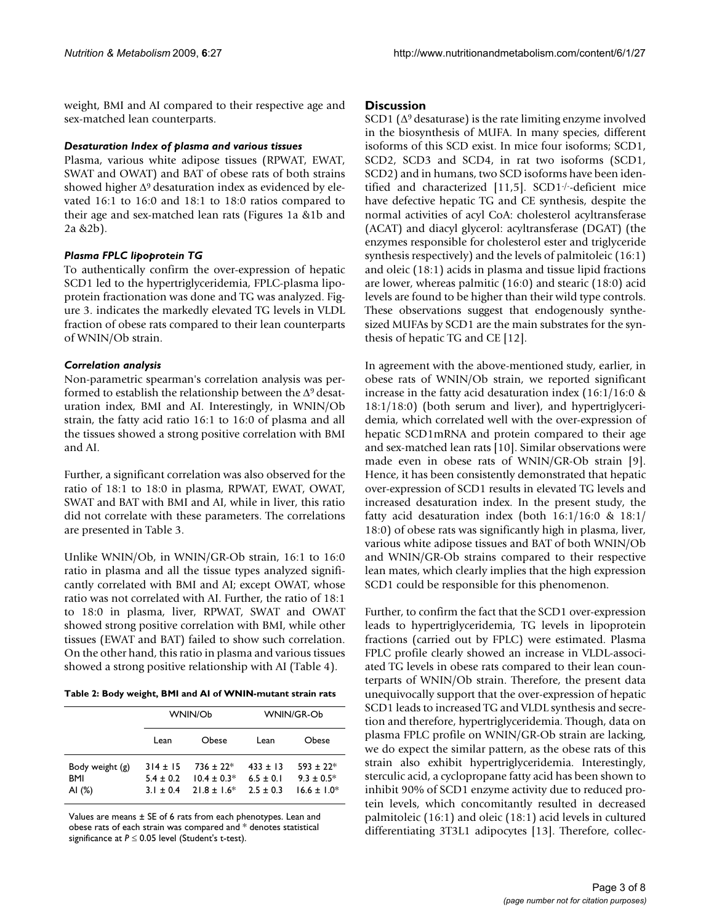weight, BMI and AI compared to their respective age and sex-matched lean counterparts.

### *Desaturation Index of plasma and various tissues*

Plasma, various white adipose tissues (RPWAT, EWAT, SWAT and OWAT) and BAT of obese rats of both strains showed higher  $\Delta$ <sup>9</sup> desaturation index as evidenced by elevated 16:1 to 16:0 and 18:1 to 18:0 ratios compared to their age and sex-matched lean rats (Figures [1](#page-3-0)a &[1](#page-3-0)b and [2a](#page-4-0) &[2b](#page-4-0)).

# *Plasma FPLC lipoprotein TG*

To authentically confirm the over-expression of hepatic SCD1 led to the hypertriglyceridemia, FPLC-plasma lipoprotein fractionation was done and TG was analyzed. Figure [3](#page-5-0). indicates the markedly elevated TG levels in VLDL fraction of obese rats compared to their lean counterparts of WNIN/Ob strain.

# *Correlation analysis*

Non-parametric spearman's correlation analysis was performed to establish the relationship between the  $\Delta^9$  desaturation index, BMI and AI. Interestingly, in WNIN/Ob strain, the fatty acid ratio 16:1 to 16:0 of plasma and all the tissues showed a strong positive correlation with BMI and AI.

Further, a significant correlation was also observed for the ratio of 18:1 to 18:0 in plasma, RPWAT, EWAT, OWAT, SWAT and BAT with BMI and AI, while in liver, this ratio did not correlate with these parameters. The correlations are presented in Table [3.](#page-6-0)

Unlike WNIN/Ob, in WNIN/GR-Ob strain, 16:1 to 16:0 ratio in plasma and all the tissue types analyzed significantly correlated with BMI and AI; except OWAT, whose ratio was not correlated with AI. Further, the ratio of 18:1 to 18:0 in plasma, liver, RPWAT, SWAT and OWAT showed strong positive correlation with BMI, while other tissues (EWAT and BAT) failed to show such correlation. On the other hand, this ratio in plasma and various tissues showed a strong positive relationship with AI (Table [4](#page-6-1)).

<span id="page-2-0"></span>

|  | Table 2: Body weight, BMI and AI of WNIN-mutant strain rats |
|--|-------------------------------------------------------------|
|--|-------------------------------------------------------------|

|                                    |                                            | WNIN/Ob                                           | WNIN/GR-Ob                                   |                                                   |  |
|------------------------------------|--------------------------------------------|---------------------------------------------------|----------------------------------------------|---------------------------------------------------|--|
|                                    | Lean                                       | Obese                                             | Lean                                         | Obese                                             |  |
| Body weight (g)<br>BMI<br>AI $(%)$ | $314 \pm 15$<br>$5.4 + 0.2$<br>$3.1 + 0.4$ | $736 \pm 22*$<br>$10.4 \pm 0.3*$<br>$21.8 + 1.6*$ | $433 \pm 13$<br>$6.5 + 0.1$<br>$2.5 \pm 0.3$ | $593 \pm 22*$<br>$9.3 \pm 0.5^*$<br>$16.6 + 1.0*$ |  |

Values are means ± SE of 6 rats from each phenotypes. Lean and obese rats of each strain was compared and \* denotes statistical significance at *P* ≤ 0.05 level (Student's t-test).

# **Discussion**

SCD1 ( $\Delta$ <sup>9</sup> desaturase) is the rate limiting enzyme involved in the biosynthesis of MUFA. In many species, different isoforms of this SCD exist. In mice four isoforms; SCD1, SCD2, SCD3 and SCD4, in rat two isoforms (SCD1, SCD2) and in humans, two SCD isoforms have been identified and characterized [[11](#page-7-10)[,5\]](#page-7-4). SCD1-/--deficient mice have defective hepatic TG and CE synthesis, despite the normal activities of acyl CoA: cholesterol acyltransferase (ACAT) and diacyl glycerol: acyltransferase (DGAT) (the enzymes responsible for cholesterol ester and triglyceride synthesis respectively) and the levels of palmitoleic (16:1) and oleic (18:1) acids in plasma and tissue lipid fractions are lower, whereas palmitic (16:0) and stearic (18:0) acid levels are found to be higher than their wild type controls. These observations suggest that endogenously synthesized MUFAs by SCD1 are the main substrates for the synthesis of hepatic TG and CE [\[12](#page-7-11)].

In agreement with the above-mentioned study, earlier, in obese rats of WNIN/Ob strain, we reported significant increase in the fatty acid desaturation index (16:1/16:0 & 18:1/18:0) (both serum and liver), and hypertriglyceridemia, which correlated well with the over-expression of hepatic SCD1mRNA and protein compared to their age and sex-matched lean rats [[10\]](#page-7-9). Similar observations were made even in obese rats of WNIN/GR-Ob strain [[9](#page-7-8)]. Hence, it has been consistently demonstrated that hepatic over-expression of SCD1 results in elevated TG levels and increased desaturation index. In the present study, the fatty acid desaturation index (both 16:1/16:0 & 18:1/ 18:0) of obese rats was significantly high in plasma, liver, various white adipose tissues and BAT of both WNIN/Ob and WNIN/GR-Ob strains compared to their respective lean mates, which clearly implies that the high expression SCD1 could be responsible for this phenomenon.

Further, to confirm the fact that the SCD1 over-expression leads to hypertriglyceridemia, TG levels in lipoprotein fractions (carried out by FPLC) were estimated. Plasma FPLC profile clearly showed an increase in VLDL-associated TG levels in obese rats compared to their lean counterparts of WNIN/Ob strain. Therefore, the present data unequivocally support that the over-expression of hepatic SCD1 leads to increased TG and VLDL synthesis and secretion and therefore, hypertriglyceridemia. Though, data on plasma FPLC profile on WNIN/GR-Ob strain are lacking, we do expect the similar pattern, as the obese rats of this strain also exhibit hypertriglyceridemia. Interestingly, sterculic acid, a cyclopropane fatty acid has been shown to inhibit 90% of SCD1 enzyme activity due to reduced protein levels, which concomitantly resulted in decreased palmitoleic (16:1) and oleic (18:1) acid levels in cultured differentiating 3T3L1 adipocytes [\[13](#page-7-12)]. Therefore, collec-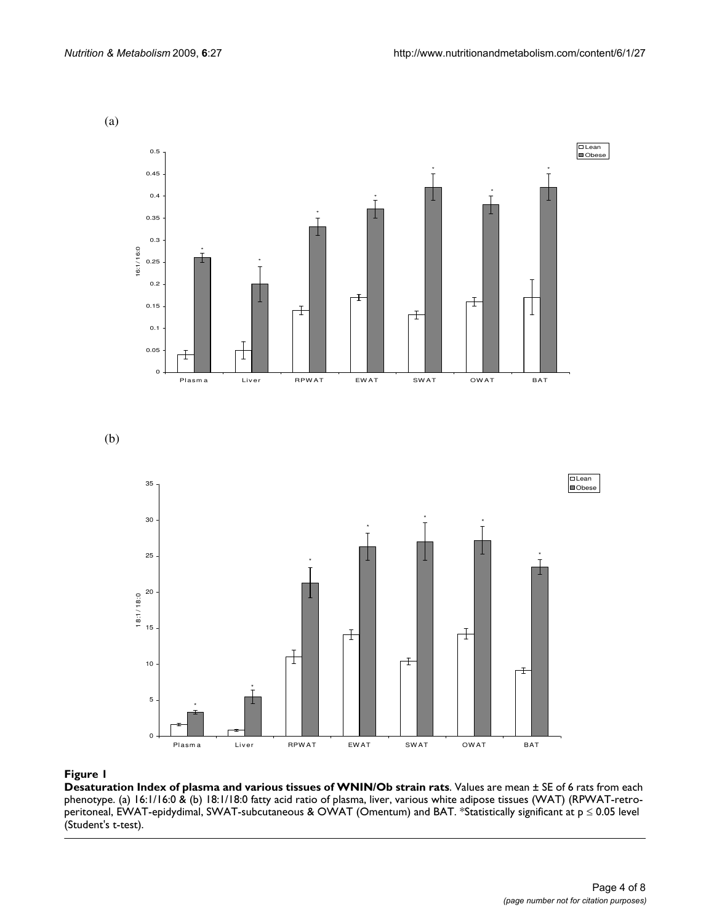<span id="page-3-0"></span>

# Figure 1

**Desaturation Index of plasma and various tissues of WNIN/Ob strain rats**. Values are mean ± SE of 6 rats from each phenotype. (a) 16:1/16:0 & (b) 18:1/18:0 fatty acid ratio of plasma, liver, various white adipose tissues (WAT) (RPWAT-retroperitoneal, EWAT-epidydimal, SWAT-subcutaneous & OWAT (Omentum) and BAT. \*Statistically significant at p ≤ 0.05 level (Student's t-test).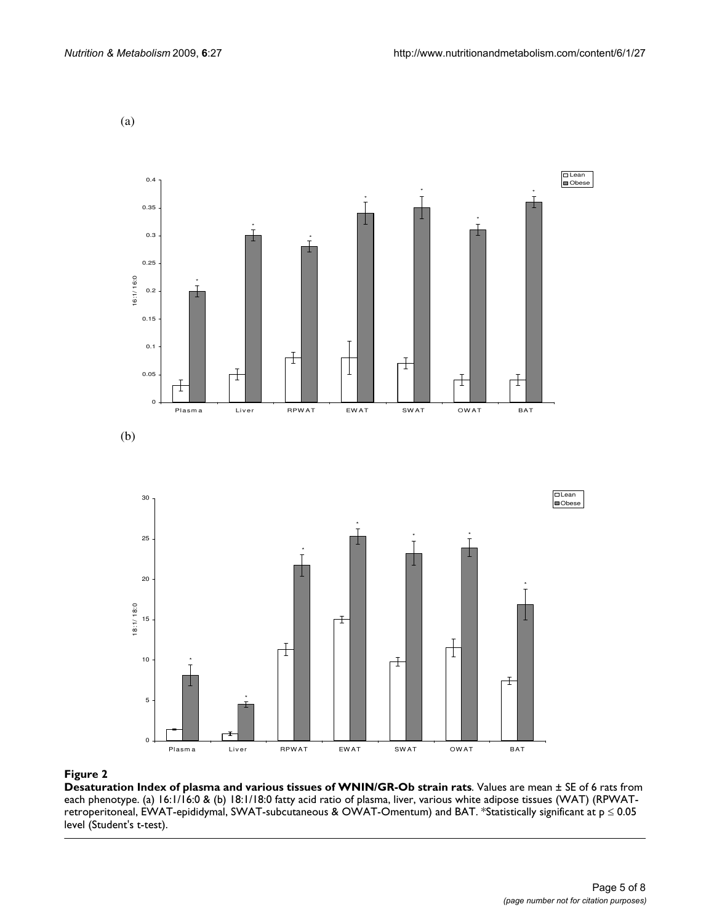<span id="page-4-0"></span>(a)



#### Figure 2

**Desaturation Index of plasma and various tissues of WNIN/GR-Ob strain rats**. Values are mean ± SE of 6 rats from each phenotype. (a) 16:1/16:0 & (b) 18:1/18:0 fatty acid ratio of plasma, liver, various white adipose tissues (WAT) (RPWATretroperitoneal, EWAT-epididymal, SWAT-subcutaneous & OWAT-Omentum) and BAT. \*Statistically significant at p ≤ 0.05 level (Student's t-test).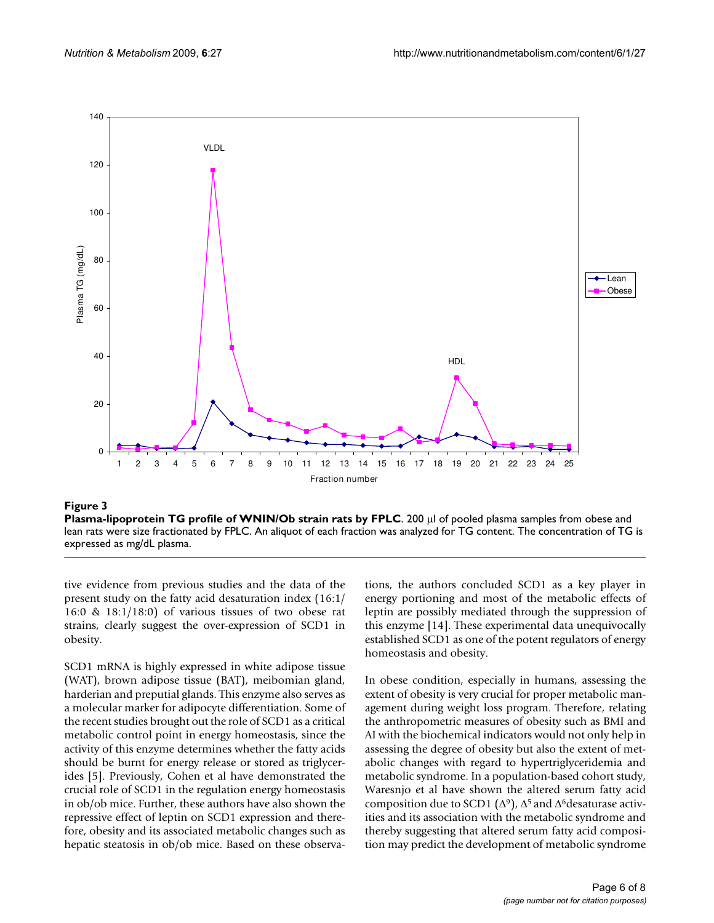<span id="page-5-0"></span>

#### **Figure 3**

**Plasma-lipoprotein TG profile of WNIN/Ob strain rats by FPLC**. 200 μl of pooled plasma samples from obese and lean rats were size fractionated by FPLC. An aliquot of each fraction was analyzed for TG content. The concentration of TG is expressed as mg/dL plasma.

tive evidence from previous studies and the data of the present study on the fatty acid desaturation index (16:1/ 16:0 & 18:1/18:0) of various tissues of two obese rat strains, clearly suggest the over-expression of SCD1 in obesity.

SCD1 mRNA is highly expressed in white adipose tissue (WAT), brown adipose tissue (BAT), meibomian gland, harderian and preputial glands. This enzyme also serves as a molecular marker for adipocyte differentiation. Some of the recent studies brought out the role of SCD1 as a critical metabolic control point in energy homeostasis, since the activity of this enzyme determines whether the fatty acids should be burnt for energy release or stored as triglycerides [[5](#page-7-4)]. Previously, Cohen et al have demonstrated the crucial role of SCD1 in the regulation energy homeostasis in ob/ob mice. Further, these authors have also shown the repressive effect of leptin on SCD1 expression and therefore, obesity and its associated metabolic changes such as hepatic steatosis in ob/ob mice. Based on these observations, the authors concluded SCD1 as a key player in energy portioning and most of the metabolic effects of leptin are possibly mediated through the suppression of this enzyme [\[14\]](#page-7-13). These experimental data unequivocally established SCD1 as one of the potent regulators of energy homeostasis and obesity.

In obese condition, especially in humans, assessing the extent of obesity is very crucial for proper metabolic management during weight loss program. Therefore, relating the anthropometric measures of obesity such as BMI and AI with the biochemical indicators would not only help in assessing the degree of obesity but also the extent of metabolic changes with regard to hypertriglyceridemia and metabolic syndrome. In a population-based cohort study, Waresnjo et al have shown the altered serum fatty acid composition due to SCD1 ( $\Delta$ <sup>9</sup>),  $\Delta$ <sup>5</sup> and  $\Delta$ <sup>6</sup>desaturase activities and its association with the metabolic syndrome and thereby suggesting that altered serum fatty acid composition may predict the development of metabolic syndrome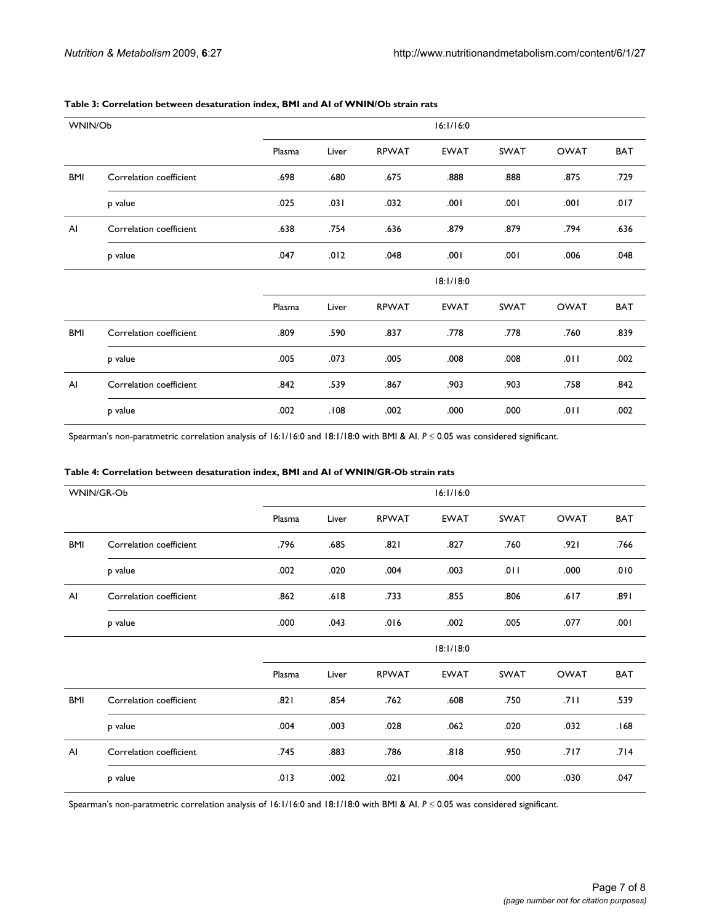| WNIN/Ob    |                         | 16:1/16:0 |       |              |             |             |             |            |
|------------|-------------------------|-----------|-------|--------------|-------------|-------------|-------------|------------|
|            |                         | Plasma    | Liver | <b>RPWAT</b> | <b>EWAT</b> | <b>SWAT</b> | <b>OWAT</b> | <b>BAT</b> |
| BMI        | Correlation coefficient | .698      | .680  | .675         | .888        | .888        | .875        | .729       |
|            | p value                 | .025      | .031  | .032         | .001        | .001        | .001        | .017       |
| Al         | Correlation coefficient | .638      | .754  | .636         | .879        | .879        | .794        | .636       |
|            | p value                 | .047      | .012  | .048         | .001        | .001        | .006        | .048       |
|            |                         | 18:1/18:0 |       |              |             |             |             |            |
|            |                         | Plasma    | Liver | <b>RPWAT</b> | <b>EWAT</b> | SWAT        | <b>OWAT</b> | <b>BAT</b> |
| <b>BMI</b> | Correlation coefficient | .809      | .590  | .837         | .778        | .778        | .760        | .839       |
|            | p value                 | .005      | .073  | .005         | .008        | .008        | .011        | .002       |
| Al         | Correlation coefficient | .842      | .539  | .867         | .903        | .903        | .758        | .842       |
|            | p value                 | .002      | .108  | .002         | .000        | .000        | .011        | .002       |

#### <span id="page-6-0"></span>**Table 3: Correlation between desaturation index, BMI and AI of WNIN/Ob strain rats**

Spearman's non-paratmetric correlation analysis of 16:1/16:0 and 18:1/18:0 with BMI & AI. *P* ≤ 0.05 was considered significant.

#### <span id="page-6-1"></span>**Table 4: Correlation between desaturation index, BMI and AI of WNIN/GR-Ob strain rats**

| WNIN/GR-Ob |                         |        | 16:1/16:0 |              |             |             |             |            |  |
|------------|-------------------------|--------|-----------|--------------|-------------|-------------|-------------|------------|--|
|            |                         | Plasma | Liver     | <b>RPWAT</b> | <b>EWAT</b> | <b>SWAT</b> | <b>OWAT</b> | <b>BAT</b> |  |
| BMI        | Correlation coefficient | .796   | .685      | .821         | .827        | .760        | .921        | .766       |  |
|            | p value                 | .002   | .020      | .004         | .003        | .011        | .000        | .010       |  |
| AI         | Correlation coefficient | .862   | .618      | .733         | .855        | .806        | .617        | .891       |  |
|            | p value                 | .000   | .043      | .016         | .002        | .005        | .077        | .001       |  |
|            |                         |        | 18:1/18:0 |              |             |             |             |            |  |
|            |                         | Plasma | Liver     | <b>RPWAT</b> | <b>EWAT</b> | SWAT        | <b>OWAT</b> | <b>BAT</b> |  |
| BMI        | Correlation coefficient | .821   | .854      | .762         | .608        | .750        | .711        | .539       |  |
|            | p value                 | .004   | .003      | .028         | .062        | .020        | .032        | .168       |  |
| Al         | Correlation coefficient | .745   | .883      | .786         | .818        | .950        | .717        | .714       |  |
|            | p value                 | .013   | .002      | .021         | .004        | .000        | .030        | .047       |  |

Spearman's non-paratmetric correlation analysis of 16:1/16:0 and 18:1/18:0 with BMI & AI. *P* ≤ 0.05 was considered significant.